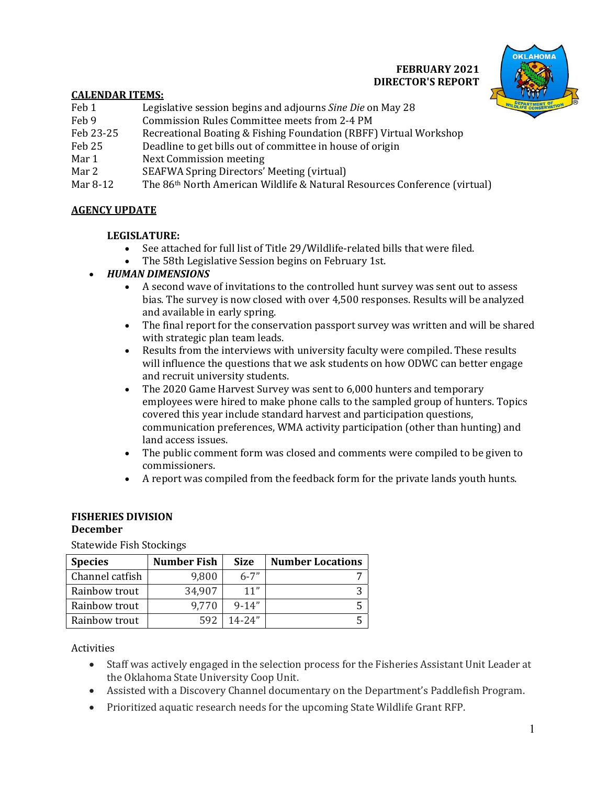## **FEBRUARY 2021 DIRECTOR'S REPORT**



### **CALENDAR ITEMS:**

- Feb 1 Legislative session begins and adjourns *Sine Die* on May 28
- Feb 9 Commission Rules Committee meets from 2-4 PM
- Feb 23-25 Recreational Boating & Fishing Foundation (RBFF) Virtual Workshop
- Feb 25 Deadline to get bills out of committee in house of origin
- Mar 1 Next Commission meeting
- Mar 2 SEAFWA Spring Directors' Meeting (virtual)
- Mar 8-12 The 86<sup>th</sup> North American Wildlife & Natural Resources Conference (virtual)

### **AGENCY UPDATE**

### **LEGISLATURE:**

- See attached for full list of Title 29/Wildlife-related bills that were filed.
- The 58th Legislative Session begins on February 1st.

### *HUMAN DIMENSIONS*

- A second wave of invitations to the controlled hunt survey was sent out to assess bias. The survey is now closed with over 4,500 responses. Results will be analyzed and available in early spring.
- The final report for the conservation passport survey was written and will be shared with strategic plan team leads.
- Results from the interviews with university faculty were compiled. These results will influence the questions that we ask students on how ODWC can better engage and recruit university students.
- The 2020 Game Harvest Survey was sent to 6,000 hunters and temporary employees were hired to make phone calls to the sampled group of hunters. Topics covered this year include standard harvest and participation questions, communication preferences, WMA activity participation (other than hunting) and land access issues.
- The public comment form was closed and comments were compiled to be given to commissioners.
- A report was compiled from the feedback form for the private lands youth hunts.

#### **FISHERIES DIVISION December**

Statewide Fish Stockings

| <b>Species</b>  | <b>Number Fish</b> | <b>Size</b> | <b>Number Locations</b> |
|-----------------|--------------------|-------------|-------------------------|
| Channel catfish | 9,800              | $6 - 7"$    |                         |
| Rainbow trout   | 34,907             | 11"         |                         |
| Rainbow trout   | 9.770              | $9 - 14"$   |                         |
| Rainbow trout   | 592                | $14 - 24"$  |                         |

Activities

- Staff was actively engaged in the selection process for the Fisheries Assistant Unit Leader at the Oklahoma State University Coop Unit.
- Assisted with a Discovery Channel documentary on the Department's Paddlefish Program.
- Prioritized aquatic research needs for the upcoming State Wildlife Grant RFP.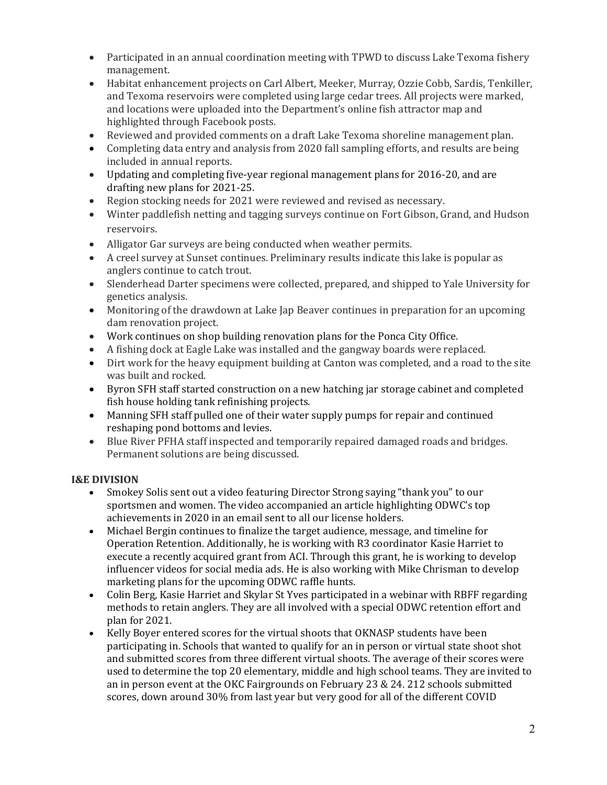- Participated in an annual coordination meeting with TPWD to discuss Lake Texoma fishery management.
- Habitat enhancement projects on Carl Albert, Meeker, Murray, Ozzie Cobb, Sardis, Tenkiller, and Texoma reservoirs were completed using large cedar trees. All projects were marked, and locations were uploaded into the Department's online fish attractor map and highlighted through Facebook posts.
- Reviewed and provided comments on a draft Lake Texoma shoreline management plan.
- Completing data entry and analysis from 2020 fall sampling efforts, and results are being included in annual reports.
- Updating and completing five-year regional management plans for 2016-20, and are drafting new plans for 2021-25.
- Region stocking needs for 2021 were reviewed and revised as necessary.
- Winter paddlefish netting and tagging surveys continue on Fort Gibson, Grand, and Hudson reservoirs.
- Alligator Gar surveys are being conducted when weather permits.
- A creel survey at Sunset continues. Preliminary results indicate this lake is popular as anglers continue to catch trout.
- Slenderhead Darter specimens were collected, prepared, and shipped to Yale University for genetics analysis.
- Monitoring of the drawdown at Lake Jap Beaver continues in preparation for an upcoming dam renovation project.
- Work continues on shop building renovation plans for the Ponca City Office.
- A fishing dock at Eagle Lake was installed and the gangway boards were replaced.
- Dirt work for the heavy equipment building at Canton was completed, and a road to the site was built and rocked.
- Byron SFH staff started construction on a new hatching jar storage cabinet and completed fish house holding tank refinishing projects.
- Manning SFH staff pulled one of their water supply pumps for repair and continued reshaping pond bottoms and levies.
- Blue River PFHA staff inspected and temporarily repaired damaged roads and bridges. Permanent solutions are being discussed.

### **I&E DIVISION**

- Smokey Solis sent out a video featuring Director Strong saying "thank you" to our sportsmen and women. The video accompanied an article highlighting ODWC's top achievements in 2020 in an email sent to all our license holders.
- Michael Bergin continues to finalize the target audience, message, and timeline for Operation Retention. Additionally, he is working with R3 coordinator Kasie Harriet to execute a recently acquired grant from ACI. Through this grant, he is working to develop influencer videos for social media ads. He is also working with Mike Chrisman to develop marketing plans for the upcoming ODWC raffle hunts.
- Colin Berg, Kasie Harriet and Skylar St Yves participated in a webinar with RBFF regarding methods to retain anglers. They are all involved with a special ODWC retention effort and plan for 2021.
- Kelly Boyer entered scores for the virtual shoots that OKNASP students have been participating in. Schools that wanted to qualify for an in person or virtual state shoot shot and submitted scores from three different virtual shoots. The average of their scores were used to determine the top 20 elementary, middle and high school teams. They are invited to an in person event at the OKC Fairgrounds on February 23 & 24. 212 schools submitted scores, down around 30% from last year but very good for all of the different COVID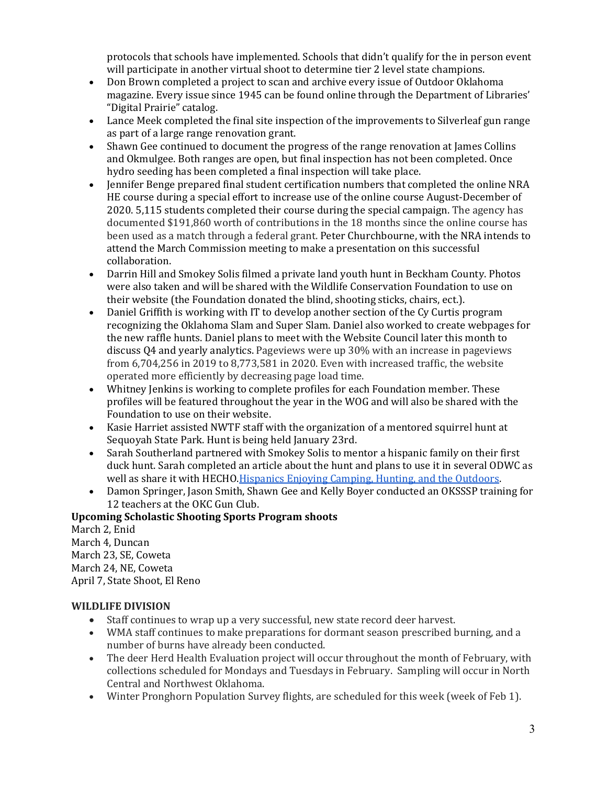protocols that schools have implemented. Schools that didn't qualify for the in person event will participate in another virtual shoot to determine tier 2 level state champions.

- Don Brown completed a project to scan and archive every issue of Outdoor Oklahoma magazine. Every issue since 1945 can be found online through the Department of Libraries' "Digital Prairie" catalog.
- Lance Meek completed the final site inspection of the improvements to Silverleaf gun range as part of a large range renovation grant.
- Shawn Gee continued to document the progress of the range renovation at James Collins and Okmulgee. Both ranges are open, but final inspection has not been completed. Once hydro seeding has been completed a final inspection will take place.
- Jennifer Benge prepared final student certification numbers that completed the online NRA HE course during a special effort to increase use of the online course August-December of 2020. 5,115 students completed their course during the special campaign. The agency has documented \$191,860 worth of contributions in the 18 months since the online course has been used as a match through a federal grant. Peter Churchbourne, with the NRA intends to attend the March Commission meeting to make a presentation on this successful collaboration.
- Darrin Hill and Smokey Solis filmed a private land youth hunt in Beckham County. Photos were also taken and will be shared with the Wildlife Conservation Foundation to use on their website (the Foundation donated the blind, shooting sticks, chairs, ect.).
- Daniel Griffith is working with IT to develop another section of the Cy Curtis program recognizing the Oklahoma Slam and Super Slam. Daniel also worked to create webpages for the new raffle hunts. Daniel plans to meet with the Website Council later this month to discuss Q4 and yearly analytics. Pageviews were up 30% with an increase in pageviews from 6,704,256 in 2019 to 8,773,581 in 2020. Even with increased traffic, the website operated more efficiently by decreasing page load time.
- Whitney Jenkins is working to complete profiles for each Foundation member. These profiles will be featured throughout the year in the WOG and will also be shared with the Foundation to use on their website.
- Kasie Harriet assisted NWTF staff with the organization of a mentored squirrel hunt at Sequoyah State Park. Hunt is being held January 23rd.
- Sarah Southerland partnered with Smokey Solis to mentor a hispanic family on their first duck hunt. Sarah completed an article about the hunt and plans to use it in several ODWC as well as share it with HECHO. Hispanics Enjoying Camping, Hunting, and the Outdoors.
- Damon Springer, Jason Smith, Shawn Gee and Kelly Boyer conducted an OKSSSP training for 12 teachers at the OKC Gun Club.

### **Upcoming Scholastic Shooting Sports Program shoots**

March 2, Enid March 4, Duncan March 23, SE, Coweta March 24, NE, Coweta April 7, State Shoot, El Reno

# **WILDLIFE DIVISION**

- Staff continues to wrap up a very successful, new state record deer harvest.
- WMA staff continues to make preparations for dormant season prescribed burning, and a number of burns have already been conducted.
- The deer Herd Health Evaluation project will occur throughout the month of February, with collections scheduled for Mondays and Tuesdays in February. Sampling will occur in North Central and Northwest Oklahoma.
- Winter Pronghorn Population Survey flights, are scheduled for this week (week of Feb 1).